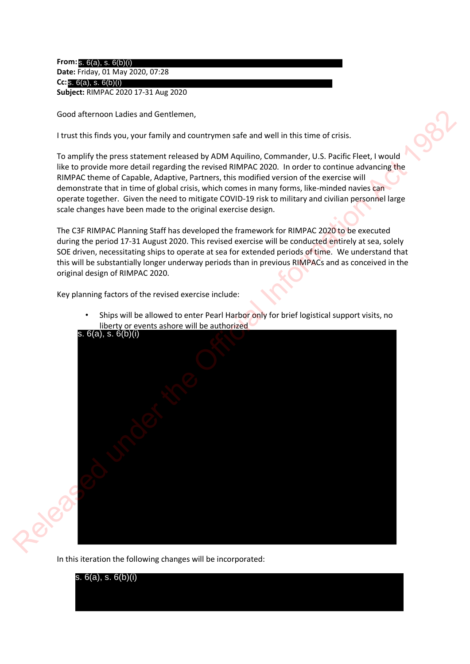**From:** s. 6(a), s. 6(b)(i) **Date:** Friday, 01 May 2020, 07:28 **Cc:**  s. 6(a), s. 6(b)(i) **Subject:** RIMPAC 2020 17-31 Aug 2020

Good afternoon Ladies and Gentlemen,

I trust this finds you, your family and countrymen safe and well in this time of crisis.

To amplify the press statement released by ADM Aquilino, Commander, U.S. Pacific Fleet, I would like to provide more detail regarding the revised RIMPAC 2020. In order to continue advancing the RIMPAC theme of Capable, Adaptive, Partners, this modified version of the exercise will demonstrate that in time of global crisis, which comes in many forms, like-minded navies can operate together. Given the need to mitigate COVID-19 risk to military and civilian personnel large scale changes have been made to the original exercise design.

The C3F RIMPAC Planning Staff has developed the framework for RIMPAC 2020 to be executed during the period 17-31 August 2020. This revised exercise will be conducted entirely at sea, solely SOE driven, necessitating ships to operate at sea for extended periods of time. We understand that this will be substantially longer underway periods than in previous RIMPACs and as conceived in the original design of RIMPAC 2020.

Key planning factors of the revised exercise include:

• Ships will be allowed to enter Pearl Harbor only for brief logistical support visits, no liberty or events ashore will be authorized



In this iteration the following changes will be incorporated:

s. 6(a), s. 6(b)(i)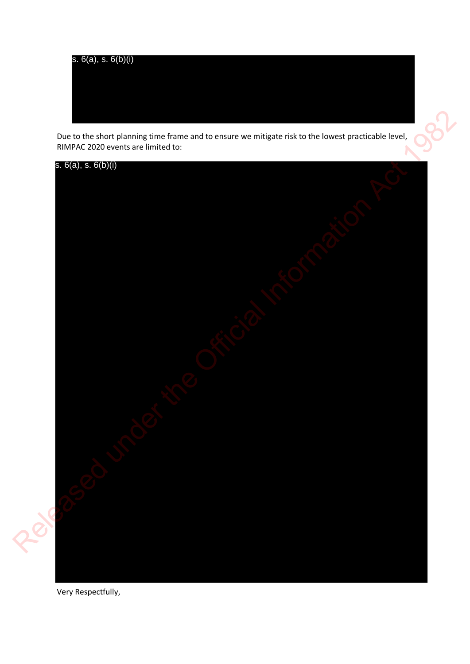

Due to the short planning time frame and to ensure we mitigate risk to the lowest practicable level, RIMPAC 2020 events are limited to:



Very Respectfully,